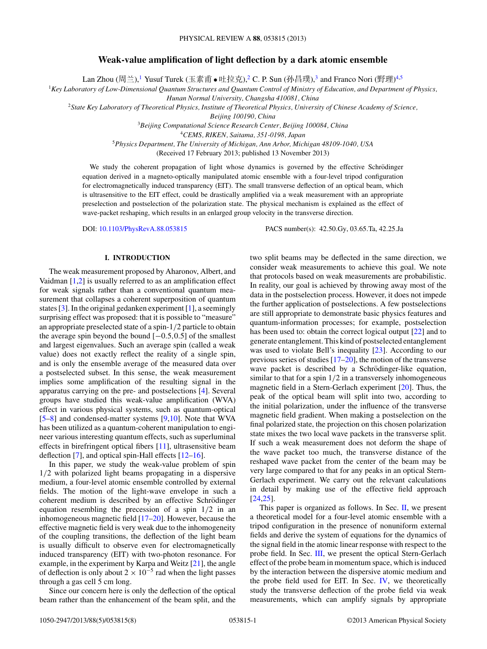# **Weak-value amplification of light deflection by a dark atomic ensemble**

Lan Zhou (周兰),<sup>1</sup> Yusuf Turek (玉素甫 ● 吐拉克),<sup>2</sup> C. P. Sun (孙昌璞),<sup>3</sup> and Franco Nori (野理)<sup>4,5</sup>

<sup>1</sup>*Key Laboratory of Low-Dimensional Quantum Structures and Quantum Control of Ministry of Education, and Department of Physics,*

*Hunan Normal University, Changsha 410081, China*

<sup>2</sup>*State Key Laboratory of Theoretical Physics, Institute of Theoretical Physics, University of Chinese Academy of Science,*

*Beijing 100190, China*

<sup>3</sup>*Beijing Computational Science Research Center, Beijing 100084, China*

<sup>4</sup>*CEMS, RIKEN, Saitama, 351-0198, Japan*

<sup>5</sup>*Physics Department, The University of Michigan, Ann Arbor, Michigan 48109-1040, USA*

(Received 17 February 2013; published 13 November 2013)

We study the coherent propagation of light whose dynamics is governed by the effective Schrödinger equation derived in a magneto-optically manipulated atomic ensemble with a four-level tripod configuration for electromagnetically induced transparency (EIT). The small transverse deflection of an optical beam, which is ultrasensitive to the EIT effect, could be drastically amplified via a weak measurement with an appropriate preselection and postselection of the polarization state. The physical mechanism is explained as the effect of wave-packet reshaping, which results in an enlarged group velocity in the transverse direction.

DOI: [10.1103/PhysRevA.88.053815](http://dx.doi.org/10.1103/PhysRevA.88.053815) PACS number(s): 42*.*50*.*Gy, 03*.*65*.*Ta, 42*.*25*.*Ja

### **I. INTRODUCTION**

The weak measurement proposed by Aharonov, Albert, and Vaidman [\[1,2\]](#page-7-0) is usually referred to as an amplification effect for weak signals rather than a conventional quantum measurement that collapses a coherent superposition of quantum states [\[3\]](#page-7-0). In the original gedanken experiment [\[1\]](#page-7-0), a seemingly surprising effect was proposed: that it is possible to "measure" an appropriate preselected state of a spin-1*/*2 particle to obtain the average spin beyond the bound [−0*.*5*,*0*.*5] of the smallest and largest eigenvalues. Such an average spin (called a weak value) does not exactly reflect the reality of a single spin, and is only the ensemble average of the measured data over a postselected subset. In this sense, the weak measurement implies some amplification of the resulting signal in the apparatus carrying on the pre- and postselections [\[4\]](#page-7-0). Several groups have studied this weak-value amplification (WVA) effect in various physical systems, such as quantum-optical [\[5–8\]](#page-7-0) and condensed-matter systems [\[9,10\]](#page-7-0). Note that WVA has been utilized as a quantum-coherent manipulation to engineer various interesting quantum effects, such as superluminal effects in birefringent optical fibers [\[11\]](#page-7-0), ultrasensitive beam deflection [\[7\]](#page-7-0), and optical spin-Hall effects [\[12–16\]](#page-7-0).

In this paper, we study the weak-value problem of spin 1*/*2 with polarized light beams propagating in a dispersive medium, a four-level atomic ensemble controlled by external fields. The motion of the light-wave envelope in such a coherent medium is described by an effective Schrödinger equation resembling the precession of a spin 1*/*2 in an inhomogeneous magnetic field [\[17–20\]](#page-7-0). However, because the effective magnetic field is very weak due to the inhomogeneity of the coupling transitions, the deflection of the light beam is usually difficult to observe even for electromagnetically induced transparency (EIT) with two-photon resonance. For example, in the experiment by Karpa and Weitz [\[21\]](#page-7-0), the angle of deflection is only about  $2 \times 10^{-5}$  rad when the light passes through a gas cell 5 cm long.

Since our concern here is only the deflection of the optical beam rather than the enhancement of the beam split, and the two split beams may be deflected in the same direction, we consider weak measurements to achieve this goal. We note that protocols based on weak measurements are probabilistic. In reality, our goal is achieved by throwing away most of the data in the postselection process. However, it does not impede the further application of postselections. A few postselections are still appropriate to demonstrate basic physics features and quantum-information processes; for example, postselection has been used to: obtain the correct logical output [\[22\]](#page-7-0) and to generate entanglement. This kind of postselected entanglement was used to violate Bell's inequality [\[23\]](#page-7-0). According to our previous series of studies  $[17–20]$ , the motion of the transverse wave packet is described by a Schrödinger-like equation, similar to that for a spin 1*/*2 in a transversely inhomogeneous magnetic field in a Stern-Gerlach experiment [\[20\]](#page-7-0). Thus, the peak of the optical beam will split into two, according to the initial polarization, under the influence of the transverse magnetic field gradient. When making a postselection on the final polarized state, the projection on this chosen polarization state mixes the two local wave packets in the transverse split. If such a weak measurement does not deform the shape of the wave packet too much, the transverse distance of the reshaped wave packet from the center of the beam may be very large compared to that for any peaks in an optical Stern-Gerlach experiment. We carry out the relevant calculations in detail by making use of the effective field approach [\[24,25\]](#page-7-0).

This paper is organized as follows. In Sec. [II,](#page-1-0) we present a theoretical model for a four-level atomic ensemble with a tripod configuration in the presence of nonuniform external fields and derive the system of equations for the dynamics of the signal field in the atomic linear response with respect to the probe field. In Sec. [III,](#page-2-0) we present the optical Stern-Gerlach effect of the probe beam in momentum space, which is induced by the interaction between the dispersive atomic medium and the probe field used for EIT. In Sec. [IV,](#page-3-0) we theoretically study the transverse deflection of the probe field via weak measurements, which can amplify signals by appropriate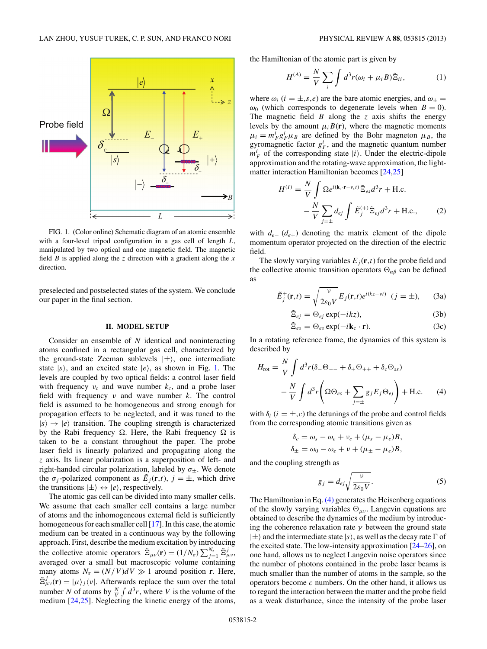<span id="page-1-0"></span>

FIG. 1. (Color online) Schematic diagram of an atomic ensemble with a four-level tripod configuration in a gas cell of length *L*, manipulated by two optical and one magnetic field. The magnetic field *B* is applied along the *z* direction with a gradient along the *x* direction.

preselected and postselected states of the system. We conclude our paper in the final section.

#### **II. MODEL SETUP**

Consider an ensemble of *N* identical and noninteracting atoms confined in a rectangular gas cell, characterized by the ground-state Zeeman sublevels  $|\pm\rangle$ , one intermediate state  $|s\rangle$ , and an excited state  $|e\rangle$ , as shown in Fig. 1. The levels are coupled by two optical fields: a control laser field with frequency  $v_c$  and wave number  $k_c$ , and a probe laser field with frequency *ν* and wave number *k*. The control field is assumed to be homogeneous and strong enough for propagation effects to be neglected, and it was tuned to the  $|s\rangle \rightarrow |e\rangle$  transition. The coupling strength is characterized by the Rabi frequency  $\Omega$ . Here, the Rabi frequency  $\Omega$  is taken to be a constant throughout the paper. The probe laser field is linearly polarized and propagating along the *z* axis. Its linear polarization is a superposition of left- and right-handed circular polarization, labeled by  $\sigma_{\pm}$ . We denote the  $\sigma_i$ -polarized component as  $\tilde{E}_i(\mathbf{r},t)$ ,  $j = \pm$ , which drive the transitions  $|\pm\rangle \leftrightarrow |e\rangle$ , respectively.

The atomic gas cell can be divided into many smaller cells. We assume that each smaller cell contains a large number of atoms and the inhomogeneous external field is sufficiently homogeneous for each smaller cell [\[17\]](#page-7-0). In this case, the atomic medium can be treated in a continuous way by the following approach. First, describe the medium excitation by introducing the collective atomic operators  $\tilde{\Xi}_{\mu\nu}(\mathbf{r}) = (1/N_{\mathbf{r}}) \sum_{j=1}^{N_{\mathbf{r}}} \tilde{\Xi}_{\mu\nu}^{j}$ , averaged over a small but macroscopic volume containing many atoms  $N_r = (N/V)dV \gg 1$  around position **r**. Here,  $\tilde{\Xi}^{j}_{\mu\nu}(\mathbf{r}) = |\mu\rangle_{j} \langle \nu|$ . Afterwards replace the sum over the total number *N* of atoms by  $\frac{N}{V} \int d^3r$ , where *V* is the volume of the medium [\[24,25\]](#page-7-0). Neglecting the kinetic energy of the atoms,

the Hamiltonian of the atomic part is given by

$$
H^{(A)} = \frac{N}{V} \sum_{i} \int d^3 r(\omega_i + \mu_i B) \tilde{\Xi}_{ii}, \qquad (1)
$$

where  $\omega_i$  ( $i = \pm, s, e$ ) are the bare atomic energies, and  $\omega_{\pm} =$  $ω_0$  (which corresponds to degenerate levels when *B* = 0). The magnetic field *B* along the *z* axis shifts the energy levels by the amount  $\mu_i B(\mathbf{r})$ , where the magnetic moments  $\mu_i = m_F^i g_F^i \mu_B$  are defined by the Bohr magneton  $\mu_B$ , the gyromagnetic factor  $g_F^i$ , and the magnetic quantum number  $m_F^i$  of the corresponding state  $|i\rangle$ . Under the electric-dipole approximation and the rotating-wave approximation, the lightmatter interaction Hamiltonian becomes [\[24,25\]](#page-7-0)

$$
H^{(I)} = \frac{N}{V} \int \Omega e^{i(\mathbf{k}_c \cdot \mathbf{r} - v_c t)} \tilde{\Xi}_{es} d^3 r + \text{H.c.}
$$

$$
- \frac{N}{V} \sum_{j=\pm} d_{ej} \int \tilde{E}_j^{(+)} \tilde{\Xi}_{ej} d^3 r + \text{H.c.}, \qquad (2)
$$

with *de*<sup>−</sup> (*de*+) denoting the matrix element of the dipole momentum operator projected on the direction of the electric field.

The slowly varying variables  $E_i(\mathbf{r},t)$  for the probe field and the collective atomic transition operators  $\Theta_{\alpha\beta}$  can be defined as

$$
\tilde{E}_j^+(\mathbf{r},t) = \sqrt{\frac{\nu}{2\varepsilon_0 V}} E_j(\mathbf{r},t) e^{i(kz - \nu t)} \quad (j = \pm), \qquad (3a)
$$

$$
\tilde{\Xi}_{ej} = \Theta_{ej} \exp(-ikz),\tag{3b}
$$

$$
\tilde{\Xi}_{es} = \Theta_{es} \exp(-i\mathbf{k}_c \cdot \mathbf{r}).\tag{3c}
$$

In a rotating reference frame, the dynamics of this system is described by

$$
H_{\text{rot}} = \frac{N}{V} \int d^3 r (\delta_- \Theta_{--} + \delta_+ \Theta_{++} + \delta_c \Theta_{ss})
$$

$$
- \frac{N}{V} \int d^3 r \left( \Omega \Theta_{es} + \sum_{j=\pm} g_j E_j \Theta_{ej} \right) + \text{H.c.} \qquad (4)
$$

with  $\delta_i$  ( $i = \pm, c$ ) the detunings of the probe and control fields from the corresponding atomic transitions given as

$$
\delta_c = \omega_s - \omega_e + v_c + (\mu_s - \mu_e)B,
$$
  

$$
\delta_{\pm} = \omega_0 - \omega_e + v + (\mu_{\pm} - \mu_e)B,
$$

and the coupling strength as

$$
g_j = d_{ej} \sqrt{\frac{v}{2\varepsilon_0 V}}.\tag{5}
$$

The Hamiltonian in Eq. (4) generates the Heisenberg equations of the slowly varying variables  $\Theta_{\mu\nu}$ . Langevin equations are obtained to describe the dynamics of the medium by introducing the coherence relaxation rate *γ* between the ground state  $|\pm\rangle$  and the intermediate state  $|s\rangle$ , as well as the decay rate  $\Gamma$  of the excited state. The low-intensity approximation [\[24–26\]](#page-7-0), on one hand, allows us to neglect Langevin noise operators since the number of photons contained in the probe laser beams is much smaller than the number of atoms in the sample, so the operators become *c* numbers. On the other hand, it allows us to regard the interaction between the matter and the probe field as a weak disturbance, since the intensity of the probe laser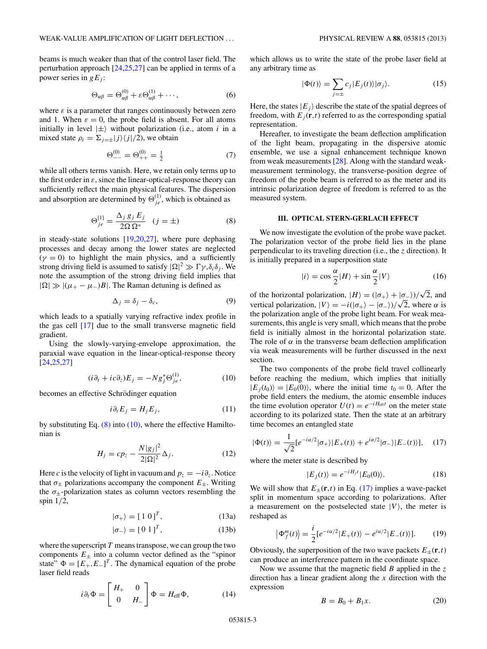<span id="page-2-0"></span>beams is much weaker than that of the control laser field. The perturbation approach [\[24,25,27\]](#page-7-0) can be applied in terms of a power series in  $gE_i$ :

$$
\Theta_{\alpha\beta} = \Theta_{\alpha\beta}^{(0)} + \varepsilon \Theta_{\alpha\beta}^{(1)} + \cdots,
$$
 (6)

where  $\varepsilon$  is a parameter that ranges continuously between zero and 1. When  $\varepsilon = 0$ , the probe field is absent. For all atoms initially in level  $|\pm\rangle$  without polarization (i.e., atom *i* in a mixed state  $\rho_i = \sum_{j=\pm} |j\rangle\langle j|/2$ , we obtain

$$
\Theta_{--}^{(0)} = \Theta_{++}^{(0)} = \frac{1}{2} \tag{7}
$$

while all others terms vanish. Here, we retain only terms up to the first order in  $\varepsilon$ , since the linear-optical-response theory can sufficiently reflect the main physical features. The dispersion and absorption are determined by  $\Theta_{j_e}^{(1)}$ , which is obtained as

$$
\Theta_{je}^{[1]} = \frac{\Delta_j g_j E_j}{2\Omega \Omega^*} \quad (j = \pm)
$$
 (8)

in steady-state solutions [\[19,20,27\]](#page-7-0), where pure dephasing processes and decay among the lower states are neglected  $(\gamma = 0)$  to highlight the main physics, and a sufficiently strong driving field is assumed to satisfy  $|\Omega|^2 \gg \Gamma \gamma, \delta_i \delta_j$ . We note the assumption of the strong driving field implies that  $|\Omega| \gg |(\mu_{+} - \mu_{-})B|$ . The Raman detuning is defined as

$$
\Delta_j = \delta_j - \delta_c,\tag{9}
$$

which leads to a spatially varying refractive index profile in the gas cell [\[17\]](#page-7-0) due to the small transverse magnetic field gradient.

Using the slowly-varying-envelope approximation, the paraxial wave equation in the linear-optical-response theory [\[24,25,27\]](#page-7-0)

$$
(i\partial_t + ic\partial_z)E_j = -Ng_j^* \Theta_{je}^{(1)},\tag{10}
$$

becomes an effective Schrödinger equation

$$
i\partial_t E_j = H_j E_j,\tag{11}
$$

by substituting Eq.  $(8)$  into  $(10)$ , where the effective Hamiltonian is

$$
H_j = cp_z - \frac{N|g_j|^2}{2|\Omega|^2} \Delta_j.
$$
 (12)

Here *c* is the velocity of light in vacuum and  $p_z = -i\partial_z$ . Notice that  $\sigma_{\pm}$  polarizations accompany the component  $E_{\pm}$ . Writing the  $\sigma_{\pm}$ -polarization states as column vectors resembling the spin 1*/*2,

$$
|\sigma_{+}\rangle = [1 \ 0]^T, \tag{13a}
$$

$$
|\sigma_{-}\rangle = [0 \ 1]^T, \tag{13b}
$$

where the superscript *T* means transpose, we can group the two components  $E_{\pm}$  into a column vector defined as the "spinor" state"  $\Phi = [E_+, E_-]^T$ . The dynamical equation of the probe laser field reads

$$
i\partial_t \Phi = \begin{bmatrix} H_+ & 0 \\ 0 & H_- \end{bmatrix} \Phi = H_{\text{eff}} \Phi, \tag{14}
$$

which allows us to write the state of the probe laser field at any arbitrary time as

$$
|\Phi(t)\rangle = \sum_{j=\pm} c_j |E_j(t)\rangle |\sigma_j\rangle.
$$
 (15)

Here, the states  $|E_j\rangle$  describe the state of the spatial degrees of freedom, with  $E_i(\mathbf{r},t)$  referred to as the corresponding spatial representation.

Hereafter, to investigate the beam deflection amplification of the light beam, propagating in the dispersive atomic ensemble, we use a signal enhancement technique known from weak measurements [\[28\]](#page-7-0). Along with the standard weakmeasurement terminology, the transverse-position degree of freedom of the probe beam is referred to as the meter and its intrinsic polarization degree of freedom is referred to as the measured system.

## **III. OPTICAL STERN-GERLACH EFFECT**

We now investigate the evolution of the probe wave packet. The polarization vector of the probe field lies in the plane perpendicular to its traveling direction (i.e., the *z* direction). It is initially prepared in a superposition state

$$
|i\rangle = \cos\frac{\alpha}{2}|H\rangle + \sin\frac{\alpha}{2}|V\rangle \tag{16}
$$

of the horizontal polarization,  $|H\rangle = (|\sigma_+\rangle + |\sigma_-/\rangle)/\sqrt{2}$ , and vertical polarization,  $|V\rangle = -i(|\sigma_+\rangle - |\sigma_-|)/\sqrt{2}$ , where *α* is the polarization angle of the probe light beam. For weak measurements, this angle is very small, which means that the probe field is initially almost in the horizontal polarization state. The role of  $\alpha$  in the transverse beam deflection amplification via weak measurements will be further discussed in the next section.

The two components of the probe field travel collinearly before reaching the medium, which implies that initially  $|E_j(t_0)\rangle = |E_0(0)\rangle$ , where the initial time  $t_0 = 0$ . After the probe field enters the medium, the atomic ensemble induces the time evolution operator  $U(t) = e^{-iH_{\text{eff}}t}$  on the meter state according to its polarized state. Then the state at an arbitrary time becomes an entangled state

$$
|\Phi(t)\rangle = \frac{1}{\sqrt{2}} [e^{-i\alpha/2}|\sigma_+\rangle|E_+(t)\rangle + e^{i\alpha/2}|\sigma_-\rangle|E_-(t)\rangle], \quad (17)
$$

where the meter state is described by

$$
|E_j(t)\rangle = e^{-iH_jt}|E_0(0)\rangle.
$$
 (18)

We will show that  $E_{\pm}(\mathbf{r},t)$  in Eq. (17) implies a wave-packet split in momentum space according to polarizations. After a measurement on the postselected state  $|V\rangle$ , the meter is reshaped as

$$
\left|\Phi_f^m(t)\right\rangle = \frac{i}{2} \left[e^{-i\alpha/2} |E_+(t)\rangle - e^{i\alpha/2} |E_-(t)\rangle\right].\tag{19}
$$

Obviously, the superposition of the two wave packets  $E_{\pm}(\mathbf{r},t)$ can produce an interference pattern in the coordinate space.

Now we assume that the magnetic field *B* applied in the *z* direction has a linear gradient along the *x* direction with the expression

$$
B = B_0 + B_1 x. \tag{20}
$$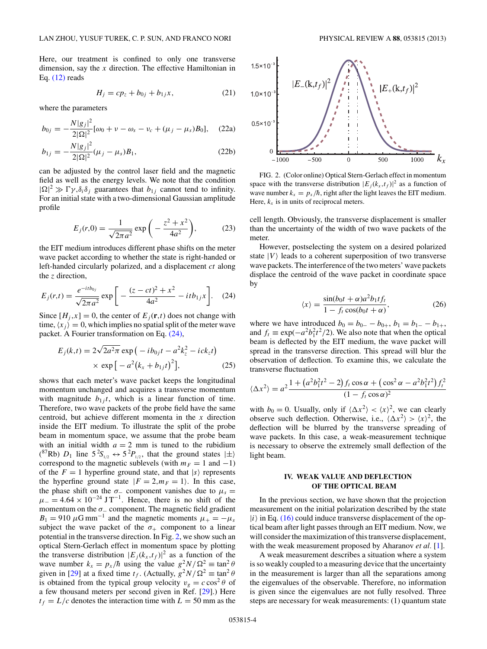<span id="page-3-0"></span>Here, our treatment is confined to only one transverse dimension, say the *x* direction. The effective Hamiltonian in Eq. [\(12\)](#page-2-0) reads

$$
H_j = cp_z + b_{0j} + b_{1j}x, \t\t(21)
$$

where the parameters

$$
b_{0j} = -\frac{N|g_j|^2}{2|\Omega|^2} [\omega_0 + \nu - \omega_s - \nu_c + (\mu_j - \mu_s)B_0], \quad (22a)
$$

$$
b_{1j} = -\frac{N|g_j|^2}{2|\Omega|^2} (\mu_j - \mu_s) B_1,
$$
\n(22b)

can be adjusted by the control laser field and the magnetic field as well as the energy levels. We note that the condition  $|\Omega|^2 \gg \Gamma \gamma$ ,  $\delta_i \delta_j$  guarantees that  $b_{1j}$  cannot tend to infinity. For an initial state with a two-dimensional Gaussian amplitude profile

$$
E_j(r,0) = \frac{1}{\sqrt{2\pi a^2}} \exp\left(-\frac{z^2 + x^2}{4a^2}\right),\tag{23}
$$

the EIT medium introduces different phase shifts on the meter wave packet according to whether the state is right-handed or left-handed circularly polarized, and a displacement *ct* along the *z* direction,

$$
E_j(r,t) = \frac{e^{-itb_{0j}}}{\sqrt{2\pi a^2}} \exp\bigg[-\frac{(z-ct)^2 + x^2}{4a^2} - itb_{1j}x\bigg].
$$
 (24)

Since  $[H_i, x] = 0$ , the center of  $E_i(\mathbf{r}, t)$  does not change with time,  $\langle x_j \rangle = 0$ , which implies no spatial split of the meter wave packet. A Fourier transformation on Eq. (24),

$$
E_j(k,t) = 2\sqrt{2a^2\pi} \exp(-ib_{0j}t - a^2k_z^2 - ick_zt)
$$
  
× exp[-a<sup>2</sup>(k<sub>x</sub> + b<sub>1j</sub>t)<sup>2</sup>], (25)

shows that each meter's wave packet keeps the longitudinal momentum unchanged and acquires a transverse momentum with magnitude  $b_{1j}t$ , which is a linear function of time. Therefore, two wave packets of the probe field have the same centroid, but achieve different momenta in the *x* direction inside the EIT medium. To illustrate the split of the probe beam in momentum space, we assume that the probe beam with an initial width  $a = 2$  mm is tuned to the rubidium <sup>(87</sup>Rb)  $D_1$  line  $5^2S_{1/2} \leftrightarrow 5^2P_{1/2}$ , that the ground states  $|\pm\rangle$ correspond to the magnetic sublevels (with  $m_F = 1$  and  $-1$ ) of the  $F = 1$  hyperfine ground state, and that  $|s\rangle$  represents the hyperfine ground state  $|F = 2, m_F = 1\rangle$ . In this case, the phase shift on the  $\sigma$ <sub>−</sub> component vanishes due to  $\mu_s$  =  $\mu = 4.64 \times 10^{-24} \text{ J T}^{-1}$ . Hence, there is no shift of the momentum on the *σ*<sup>−</sup> component. The magnetic field gradient  $B_1 = 910 \mu \text{G mm}^{-1}$  and the magnetic moments  $\mu_+ = -\mu_s$ subject the wave packet of the  $\sigma_{+}$  component to a linear potential in the transverse direction. In Fig. 2, we show such an optical Stern-Gerlach effect in momentum space by plotting the transverse distribution  $|E_j(k_x,t_f)|^2$  as a function of the wave number  $k_x = p_x/\hbar$  using the value  $g^2 N/\Omega^2 \equiv \tan^2 \theta$ given in [\[29\]](#page-7-0) at a fixed time  $t_f$ . (Actually,  $g^2 N / \Omega^2 \equiv \tan^2 \theta$ is obtained from the typical group velocity  $v_g = c \cos^2 \theta$  of a few thousand meters per second given in Ref. [\[29\]](#page-7-0).) Here  $t_f = L/c$  denotes the interaction time with  $L = 50$  mm as the



FIG. 2. (Color online) Optical Stern-Gerlach effect in momentum space with the transverse distribution  $|E_j(k_x,t_f)|^2$  as a function of wave number  $k_x = p_x/\hbar$ , right after the light leaves the EIT medium. Here,  $k_x$  is in units of reciprocal meters.

 $\theta$ 

 $-1000$ 

 $-500$ 

cell length. Obviously, the transverse displacement is smaller than the uncertainty of the width of two wave packets of the meter.

However, postselecting the system on a desired polarized state  $|V\rangle$  leads to a coherent superposition of two transverse wave packets. The interference of the two meters' wave packets displace the centroid of the wave packet in coordinate space by

$$
\langle x \rangle = \frac{\sin(b_0 t + \alpha)a^2 b_1 t f_t}{1 - f_t \cos(b_0 t + \alpha)},\tag{26}
$$

where we have introduced  $b_0 = b_{0-} - b_{0+}$ ,  $b_1 = b_{1-} - b_{1+}$ , and  $f_t \equiv \exp(-a^2b_1^2t^2/2)$ . We also note that when the optical beam is deflected by the EIT medium, the wave packet will spread in the transverse direction. This spread will blur the observation of deflection. To examine this, we calculate the transverse fluctuation

$$
\langle \Delta x^2 \rangle = a^2 \frac{1 + \left( a^2 b_1^2 t^2 - 2 \right) f_t \cos \alpha + \left( \cos^2 \alpha - a^2 b_1^2 t^2 \right) f_t^2}{(1 - f_t \cos \alpha)^2}
$$

with  $b_0 = 0$ . Usually, only if  $\langle \Delta x^2 \rangle < \langle x \rangle^2$ , we can clearly observe such deflection. Otherwise, i.e.,  $\langle \Delta x^2 \rangle > \langle x \rangle^2$ , the deflection will be blurred by the transverse spreading of wave packets. In this case, a weak-measurement technique is necessary to observe the extremely small deflection of the light beam.

### **IV. WEAK VALUE AND DEFLECTION OF THE OPTICAL BEAM**

In the previous section, we have shown that the projection measurement on the initial polarization described by the state  $|i\rangle$  in Eq. [\(16\)](#page-2-0) could induce transverse displacement of the optical beam after light passes through an EIT medium. Now, we will consider the maximization of this transverse displacement, with the weak measurement proposed by Aharanov *et al.* [\[1\]](#page-7-0).

A weak measurement describes a situation where a system is so weakly coupled to a measuring device that the uncertainty in the measurement is larger than all the separations among the eigenvalues of the observable. Therefore, no information is given since the eigenvalues are not fully resolved. Three steps are necessary for weak measurements: (1) quantum state

500

1000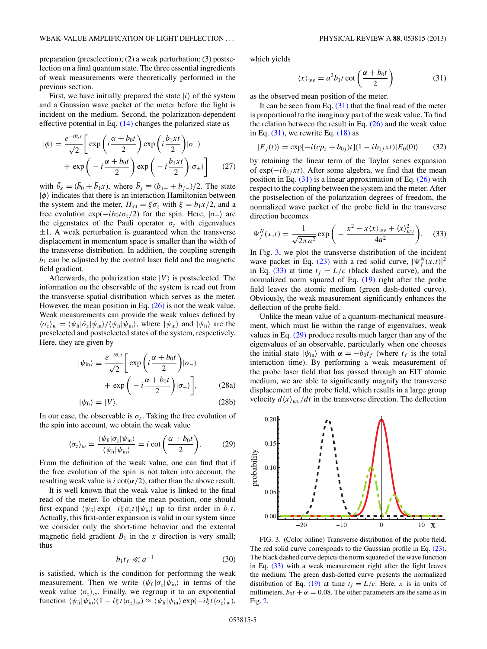<span id="page-4-0"></span>preparation (preselection); (2) a weak perturbation; (3) postselection on a final quantum state. The three essential ingredients of weak measurements were theoretically performed in the previous section.

First, we have initially prepared the state  $|i\rangle$  of the system and a Gaussian wave packet of the meter before the light is incident on the medium. Second, the polarization-dependent effective potential in Eq. [\(14\)](#page-2-0) changes the polarized state as

$$
|\phi\rangle = \frac{e^{-i\bar{\theta}_x t}}{\sqrt{2}} \left[ \exp\left(i\frac{\alpha + b_0 t}{2}\right) \exp\left(i\frac{b_1 x t}{2}\right) | \sigma_{-}\rangle + \exp\left(-i\frac{\alpha + b_0 t}{2}\right) \exp\left(-i\frac{b_1 x t}{2}\right) | \sigma_{+}\rangle \right]
$$
(27)

with  $\bar{\theta}_x = (\bar{b}_0 + \bar{b}_1 x)$ , where  $\bar{b}_j \equiv (b_{j+} + b_{j-})/2$ . The state  $|\phi\rangle$  indicates that there is an interaction Hamiltonian between the system and the meter,  $H_{int} = \xi \sigma_z$  with  $\xi = b_1 x/2$ , and a free evolution  $\exp(-ib_0t\sigma_z/2)$  for the spin. Here,  $|\sigma_{\pm}\rangle$  are the eigenstates of the Pauli operator  $\sigma_z$  with eigenvalues  $\pm 1$ . A weak perturbation is guaranteed when the transverse displacement in momentum space is smaller than the width of the transverse distribution. In addition, the coupling strength  $b_1$  can be adjusted by the control laser field and the magnetic field gradient.

Afterwards, the polarization state  $|V\rangle$  is postselected. The information on the observable of the system is read out from the transverse spatial distribution which serves as the meter. However, the mean position in Eq. [\(26\)](#page-3-0) is not the weak value. Weak measurements can provide the weak values defined by  $\langle \sigma_z \rangle_w = \langle \psi_{\text{fi}} | \hat{\sigma}_z | \psi_{\text{in}} \rangle / \langle \psi_{\text{fi}} | \psi_{\text{in}} \rangle$ , where  $| \psi_{\text{in}} \rangle$  and  $| \psi_{\text{fi}} \rangle$  are the preselected and postselected states of the system, respectively. Here, they are given by

$$
|\psi_{\rm in}\rangle \equiv \frac{e^{-i\bar{\theta}_x t}}{\sqrt{2}} \left[ \exp\left(i\frac{\alpha + b_0 t}{2}\right) | \sigma_{-}\rangle + \exp\left(-i\frac{\alpha + b_0 t}{2}\right) | \sigma_{+}\rangle \right], \tag{28a}
$$

$$
|\psi_{\text{fi}}\rangle = |V\rangle. \tag{28b}
$$

In our case, the observable is  $\sigma_z$ . Taking the free evolution of the spin into account, we obtain the weak value

$$
\langle \sigma_z \rangle_w = \frac{\langle \psi_{\rm fi} | \sigma_z | \psi_{\rm in} \rangle}{\langle \psi_{\rm fi} | \psi_{\rm in} \rangle} = i \cot \left( \frac{\alpha + b_0 t}{2} \right). \tag{29}
$$

From the definition of the weak value, one can find that if the free evolution of the spin is not taken into account, the resulting weak value is *i* cot( $\alpha/2$ ), rather than the above result.

It is well known that the weak value is linked to the final read of the meter. To obtain the mean position, one should first expand  $\langle \psi_{\text{fi}} | \exp(-i\xi \sigma_z t) | \psi_{\text{in}} \rangle$  up to first order in  $b_1 t$ . Actually, this first-order expansion is valid in our system since we consider only the short-time behavior and the external magnetic field gradient  $B_1$  in the *x* direction is very small; thus

$$
b_1 t_f \ll a^{-1} \tag{30}
$$

is satisfied, which is the condition for performing the weak measurement. Then we write  $\langle \psi_{fi} | \sigma_z | \psi_{in} \rangle$  in terms of the weak value  $\langle \sigma_z \rangle_w$ . Finally, we regroup it to an exponential  $\text{function } \langle \psi_{\text{fi}} | \psi_{\text{in}} \rangle(1 - i \xi t \langle \sigma_z \rangle_w) \approx \langle \psi_{\text{fi}} | \psi_{\text{in}} \rangle \exp(-i \xi t \langle \sigma_z \rangle_w),$ 

which yields

$$
\langle x \rangle_{wv} = a^2 b_1 t \cot \left( \frac{\alpha + b_0 t}{2} \right) \tag{31}
$$

as the observed mean position of the meter.

It can be seen from Eq.  $(31)$  that the final read of the meter is proportional to the imaginary part of the weak value. To find the relation between the result in Eq.  $(26)$  and the weak value in Eq.  $(31)$ , we rewrite Eq.  $(18)$  as

$$
|E_j(t)\rangle = \exp[-i(c p_z + b_{0j})t](1 - ib_{1j}xt)|E_0(0)\rangle \qquad (32)
$$

by retaining the linear term of the Taylor series expansion of exp(−*ib*1*<sup>j</sup> xt*). After some algebra, we find that the mean position in Eq.  $(31)$  is a linear approximation of Eq.  $(26)$  with respect to the coupling between the system and the meter. After the postselection of the polarization degrees of freedom, the normalized wave packet of the probe field in the transverse direction becomes

$$
\Psi_f^N(x,t) = \frac{1}{\sqrt{2\pi a^2}} \exp\left(-\frac{x^2 - x \langle x \rangle_{wv} + \langle x \rangle_{wv}^2}{4a^2}\right).
$$
 (33)

In Fig. 3, we plot the transverse distribution of the incident wave packet in Eq. [\(23\)](#page-3-0) with a red solid curve,  $|\Psi_f^N(x,t)|^2$ in Eq. (33) at time  $t_f = L/c$  (black dashed curve), and the normalized norm squared of Eq. [\(19\)](#page-2-0) right after the probe field leaves the atomic medium (green dash-dotted curve). Obviously, the weak measurement significantly enhances the deflection of the probe field.

Unlike the mean value of a quantum-mechanical measurement, which must lie within the range of eigenvalues, weak values in Eq. (29) produce results much larger than any of the eigenvalues of an observable, particularly when one chooses the initial state  $|\psi_{\text{in}}\rangle$  with  $\alpha = -b_0 t_f$  (where  $t_f$  is the total interaction time). By performing a weak measurement of the probe laser field that has passed through an EIT atomic medium, we are able to significantly magnify the transverse displacement of the probe field, which results in a large group velocity  $d\langle x \rangle_{wv}/dt$  in the transverse direction. The deflection



FIG. 3. (Color online) Transverse distribution of the probe field. The red solid curve corresponds to the Gaussian profile in Eq. [\(23\).](#page-3-0) The black dashed curve depicts the norm squared of the wave function in Eq. (33) with a weak measurement right after the light leaves the medium. The green dash-dotted curve presents the normalized distribution of Eq. [\(19\)](#page-2-0) at time  $t_f = L/c$ . Here, x is in units of millimeters.  $b_0t + \alpha = 0.08$ . The other parameters are the same as in Fig. [2.](#page-3-0)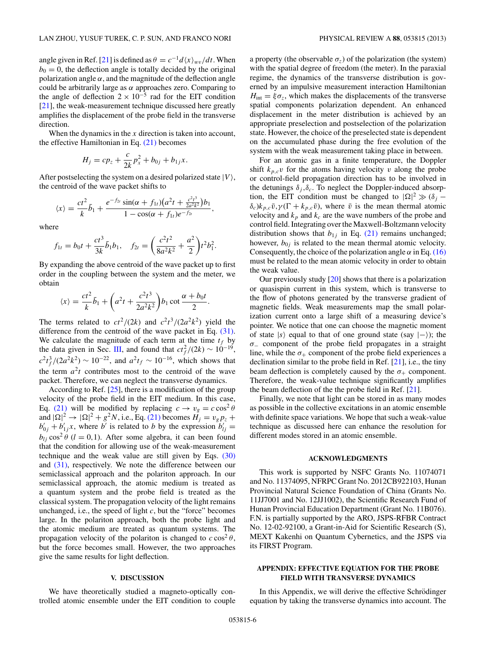angle given in Ref. [\[21\]](#page-7-0) is defined as  $\theta = c^{-1}d\langle x \rangle_{wv}/dt$ . When  $b<sub>0</sub> = 0$ , the deflection angle is totally decided by the original polarization angle  $\alpha$ , and the magnitude of the deflection angle could be arbitrarily large as *α* approaches zero. Comparing to the angle of deflection  $2 \times 10^{-5}$  rad for the EIT condition [\[21\]](#page-7-0), the weak-measurement technique discussed here greatly amplifies the displacement of the probe field in the transverse direction.

When the dynamics in the *x* direction is taken into account, the effective Hamiltonian in Eq.  $(21)$  becomes

$$
H_j = cp_z + \frac{c}{2k}p_x^2 + b_{0j} + b_{1j}x.
$$

After postselecting the system on a desired polarized state  $|V\rangle$ , the centroid of the wave packet shifts to

$$
\langle x \rangle = \frac{ct^2}{k} \bar{b}_1 + \frac{e^{-f_{2t}} \sin(\alpha + f_{1t}) \left(a^2 t + \frac{c^2 t^3}{2 a^2 k^2}\right) b_1}{1 - \cos(\alpha + f_{1t}) e^{-f_{2t}}},
$$

where

$$
f_{1t} = b_0 t + \frac{ct^3}{3k} \bar{b}_1 b_1
$$
,  $f_{2t} = \left(\frac{c^2 t^2}{8a^2 k^2} + \frac{a^2}{2}\right) t^2 b_1^2$ .

By expanding the above centroid of the wave packet up to first order in the coupling between the system and the meter, we obtain

$$
\langle x \rangle = \frac{ct^2}{k} \bar{b}_1 + \left( a^2 t + \frac{c^2 t^3}{2a^2 k^2} \right) b_1 \cot \frac{\alpha + b_0 t}{2}.
$$

The terms related to  $ct^2/(2k)$  and  $c^2t^3/(2a^2k^2)$  yield the difference from the centroid of the wave packet in Eq. [\(31\).](#page-4-0) We calculate the magnitude of each term at the time  $t_f$  by the data given in Sec. [III,](#page-2-0) and found that  $ct_f^2/(2k) \sim 10^{-19}$ ,  $c^2 t_f^3 / (2a^2 k^2) \sim 10^{-22}$ , and  $a^2 t_f \sim 10^{-16}$ , which shows that the term  $a^2t$  contributes most to the centroid of the wave packet. Therefore, we can neglect the transverse dynamics.

According to Ref. [\[25\]](#page-7-0), there is a modification of the group velocity of the probe field in the EIT medium. In this case, Eq. [\(21\)](#page-3-0) will be modified by replacing  $c \rightarrow v_g = c \cos^2 \theta$ and  $|\Omega|^2 \to |\Omega|^2 + g^2 N$ , i.e., Eq. [\(21\)](#page-3-0) becomes  $H_j = v_g p_z +$  $b'_{0j} + b'_{1j}x$ , where *b*<sup>*i*</sup> is related to *b* by the expression  $b'_{lj} =$  $b_{li}$  cos<sup>2</sup>  $\theta$  (*l* = 0,1). After some algebra, it can been found that the condition for allowing use of the weak-measurement technique and the weak value are still given by Eqs. [\(30\)](#page-4-0) and [\(31\),](#page-4-0) respectively. We note the difference between our semiclassical approach and the polariton approach. In our semiclassical approach, the atomic medium is treated as a quantum system and the probe field is treated as the classical system. The propagation velocity of the light remains unchanged, i.e., the speed of light *c*, but the "force" becomes large. In the polariton approach, both the probe light and the atomic medium are treated as quantum systems. The propagation velocity of the polariton is changed to  $c \cos^2 \theta$ , but the force becomes small. However, the two approaches give the same results for light deflection.

#### **V. DISCUSSION**

We have theoretically studied a magneto-optically controlled atomic ensemble under the EIT condition to couple a property (the observable  $\sigma_z$ ) of the polarization (the system) with the spatial degree of freedom (the meter). In the paraxial regime, the dynamics of the transverse distribution is governed by an impulsive measurement interaction Hamiltonian  $H_{\text{int}} = \xi \sigma_z$ , which makes the displacements of the transverse spatial components polarization dependent. An enhanced displacement in the meter distribution is achieved by an appropriate preselection and postselection of the polarization state. However, the choice of the preselected state is dependent on the accumulated phase during the free evolution of the system with the weak measurement taking place in between.

For an atomic gas in a finite temperature, the Doppler shift  $k_{p,c}v$  for the atoms having velocity *v* along the probe or control-field propagation direction has to be involved in the detunings  $\delta_i$ ,  $\delta_c$ . To neglect the Doppler-induced absorption, the EIT condition must be changed to  $|\Omega|^2 \gg (\delta_j - \delta_j)$  $\delta_c$ ) $k_{p,c}\bar{v}$ ,  $\gamma(\Gamma + k_{p,c}\bar{v})$ , where  $\bar{v}$  is the mean thermal atomic velocity and  $k_p$  and  $k_c$  are the wave numbers of the probe and control field. Integrating over the Maxwell-Boltzmann velocity distribution shows that  $b_{1j}$  in Eq. [\(21\)](#page-3-0) remains unchanged; however,  $b_{0j}$  is related to the mean thermal atomic velocity. Consequently, the choice of the polarization angle  $\alpha$  in Eq. [\(16\)](#page-2-0) must be related to the mean atomic velocity in order to obtain the weak value.

Our previously study [\[20\]](#page-7-0) shows that there is a polarization or quasispin current in this system, which is transverse to the flow of photons generated by the transverse gradient of magnetic fields. Weak measurements map the small polarization current onto a large shift of a measuring device's pointer. We notice that one can choose the magnetic moment of state  $|s\rangle$  equal to that of one ground state (say  $|-\rangle$ ); the *σ*<sup>−</sup> component of the probe field propagates in a straight line, while the  $\sigma_+$  component of the probe field experiences a declination similar to the probe field in Ref. [\[21\]](#page-7-0), i.e., the tiny beam deflection is completely caused by the  $\sigma_{+}$  component. Therefore, the weak-value technique significantly amplifies the beam deflection of the the probe field in Ref. [\[21\]](#page-7-0).

Finally, we note that light can be stored in as many modes as possible in the collective excitations in an atomic ensemble with definite space variations. We hope that such a weak-value technique as discussed here can enhance the resolution for different modes stored in an atomic ensemble.

#### **ACKNOWLEDGMENTS**

This work is supported by NSFC Grants No. 11074071 and No. 11374095, NFRPC Grant No. 2012CB922103, Hunan Provincial Natural Science Foundation of China (Grants No. 11JJ7001 and No. 12JJ1002), the Scientific Research Fund of Hunan Provincial Education Department (Grant No. 11B076). F.N. is partially supported by the ARO, JSPS-RFBR Contract No. 12-02-92100, a Grant-in-Aid for Scientific Research (S), MEXT Kakenhi on Quantum Cybernetics, and the JSPS via its FIRST Program.

# **APPENDIX: EFFECTIVE EQUATION FOR THE PROBE FIELD WITH TRANSVERSE DYNAMICS**

In this Appendix, we will derive the effective Schrödinger equation by taking the transverse dynamics into account. The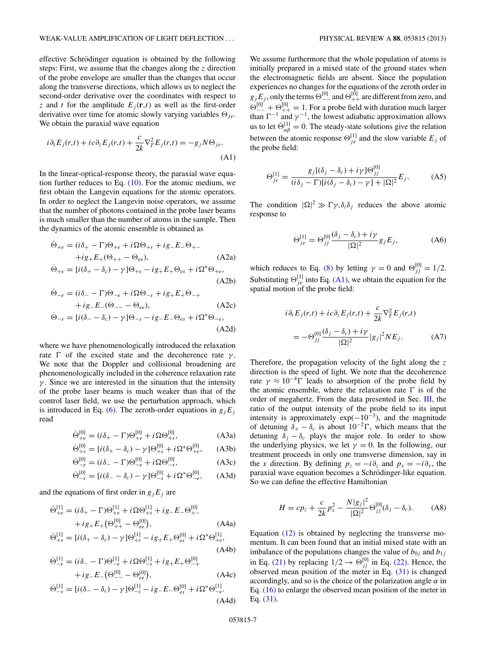effective Schrödinger equation is obtained by the following steps: First, we assume that the changes along the *z* direction of the probe envelope are smaller than the changes that occur along the transverse directions, which allows us to neglect the second-order derivative over the coordinates with respect to *z* and *t* for the amplitude  $E_i(\mathbf{r},t)$  as well as the first-order derivative over time for atomic slowly varying variables  $\Theta_{ie}$ . We obtain the paraxial wave equation

$$
i\partial_t E_j(r,t) + ic\partial_z E_j(r,t) + \frac{c}{2k} \nabla_T^2 E_j(r,t) = -g_j N \Theta_{je}.
$$
\n(A1)

In the linear-optical-response theory, the paraxial wave equation further reduces to Eq.  $(10)$ . For the atomic medium, we first obtain the Langevin equations for the atomic operators. In order to neglect the Langevin noise operators, we assume that the number of photons contained in the probe laser beams is much smaller than the number of atoms in the sample. Then the dynamics of the atomic ensemble is obtained as

$$
\dot{\Theta}_{+e} = (i\delta_{+} - \Gamma)\Theta_{+e} + i\Omega\Theta_{+s} + ig_{-}E_{-}\Theta_{+-}
$$
  
+ig\_{+}E\_{+}(\Theta\_{++} - \Theta\_{ee}), (A2a)  

$$
\dot{\Theta}_{+s} = [i(\delta_{+} - \delta_{c}) - \gamma]\Theta_{+s} - ig_{+}E_{+}\Theta_{es} + i\Omega^{*}\Theta_{+e},
$$

$$
\dot{\Theta}_{-e} = (i\delta_- - \Gamma)\Theta_{-e} + i\Omega\Theta_{-s} + ig_+E_+\Theta_{-+}
$$
\n(A2b)

$$
+ ig_{-}E_{-}(\Theta_{--}\Theta_{ee}), \qquad (A2c)
$$

$$
\dot{\Theta}_{-s} = [i(\delta_{-}-\delta_{c}) - \gamma] \Theta_{-s} - ig_{-}E_{-}\Theta_{es} + i\Omega^{*}\Theta_{-e},
$$

$$
(A2d)
$$

where we have phenomenologically introduced the relaxation rate  $\Gamma$  of the excited state and the decoherence rate *γ*. We note that the Doppler and collisional broadening are phenomenologically included in the coherence relaxation rate *γ*. Since we are interested in the situation that the intensity of the probe laser beams is much weaker than that of the control laser field, we use the perturbation approach, which is introduced in Eq. [\(6\).](#page-2-0) The zeroth-order equations in  $g_iE_j$ read

$$
\dot{\Theta}_{+e}^{[0]} = (i\delta_{+} - \Gamma)\Theta_{+e}^{[0]} + i\Omega\Theta_{+s}^{[0]}, \tag{A3a}
$$

$$
\dot{\Theta}_{+s}^{[0]} = [i(\delta_{+} - \delta_{c}) - \gamma] \Theta_{+s}^{[0]} + i\Omega^{*} \Theta_{+e}^{[0]}, \quad \text{(A3b)}
$$

$$
\dot{\Theta}_{-e}^{[0]} = (i\delta_{-} - \Gamma)\Theta_{-e}^{[0]} + i\Omega\Theta_{-s}^{[0]},\tag{A3c}
$$

$$
\dot{\Theta}_{-s}^{[0]} = [i(\delta_- - \delta_c) - \gamma] \Theta_{-s}^{[0]} + i\Omega^* \Theta_{-e}^{[0]}, \quad \text{(A3d)}
$$

and the equations of first order in  $g_jE_j$  are

$$
\dot{\Theta}_{+e}^{[1]} = (i\delta_{+} - \Gamma)\Theta_{+e}^{[1]} + i\Omega\Theta_{+s}^{[1]} + ig_{-}E_{-}\Theta_{+-}^{[0]} + ig_{+}E_{+}(\Theta_{++}^{[0]} - \Theta_{ee}^{[0]}),
$$
\n(A4a)

$$
\dot{\Theta}_{+s}^{[1]} = [i(\delta_{+} - \delta_{c}) - \gamma] \Theta_{+s}^{[1]} - ig_{+}E_{+} \Theta_{es}^{[0]} + i\Omega^{*} \Theta_{+e}^{[1]},
$$
\n(A4b)

$$
\dot{\Theta}_{-e}^{[1]} = (i\delta_- - \Gamma)\Theta_{-e}^{[1]} + i\Omega\Theta_{-s}^{[1]} + ig_+ E_+ \Theta_{-+}^{[0]} + ig_- E_- (\Theta_{--}^{[0]} - \Theta_{ee}^{[0]}),
$$
\n(A4c)

$$
\dot{\Theta}_{-s}^{[1]} = [i(\delta_- - \delta_c) - \gamma] \Theta_{-s}^{[1]} - ig_- E_- \Theta_{es}^{[0]} + i\Omega^* \Theta_{-e}^{[1]}.
$$
\n(A4d)

We assume furthermore that the whole population of atoms is initially prepared in a mixed state of the ground states when the electromagnetic fields are absent. Since the population experiences no changes for the equations of the zeroth order in  $g_j E_j$ , only the terms  $\Theta_{--}^{[0]}$  and  $\Theta_{++}^{[0]}$  are different from zero, and  $\Theta_{--}^{[0]} + \Theta_{++}^{[0]} = 1$ . For a probe field with duration much larger than  $\Gamma^{-1}$  and  $\gamma^{-1}$ , the lowest adiabatic approximation allows us to let  $\dot{\Theta}_{\alpha\beta}^{[1]} = 0$ . The steady-state solutions give the relation between the atomic response  $\Theta_{j_e}^{[1]}$  and the slow variable  $E_j$  of the probe field:

$$
\Theta_{j\dot{e}}^{[1]} = \frac{g_j[(\delta_j - \delta_c) + i\gamma] \Theta_{jj}^{[0]}}{(i\delta_j - \Gamma)[i(\delta_j - \delta_c) - \gamma] + |\Omega|^2} E_j.
$$
 (A5)

The condition  $|\Omega|^2 \gg \Gamma \gamma$ ,  $\delta_i \delta_j$  reduces the above atomic response to

$$
\Theta_{j e}^{[1]} = \Theta_{j j}^{[0]} \frac{(\delta_j - \delta_c) + i\gamma}{|\Omega|^2} g_j E_j,
$$
 (A6)

which reduces to Eq. [\(8\)](#page-2-0) by letting  $\gamma = 0$  and  $\Theta_{jj}^{[0]} = 1/2$ . Substituting  $\Theta_{j_e}^{[1]}$  into Eq. (A1), we obtain the equation for the spatial motion of the probe field:

$$
i\partial_t E_j(r,t) + ic\partial_z E_j(r,t) + \frac{c}{2k} \nabla_T^2 E_j(r,t)
$$
  
= 
$$
-\Theta_{jj}^{[0]} \frac{(\delta_j - \delta_c) + i\gamma}{|\Omega|^2} |g_j|^2 NE_j.
$$
 (A7)

Therefore, the propagation velocity of the light along the *z* direction is the speed of light. We note that the decoherence rate  $\gamma \approx 10^{-4}$  leads to absorption of the probe field by the atomic ensemble, where the relaxation rate  $\Gamma$  is of the order of megahertz. From the data presented in Sec. [III,](#page-2-0) the ratio of the output intensity of the probe field to its input intensity is approximately  $exp(-10^{-3})$ , and the magnitude of detuning  $\delta_+ - \delta_c$  is about  $10^{-2}$  Γ, which means that the detuning  $\delta_i - \delta_c$  plays the major role. In order to show the underlying physics, we let  $\gamma = 0$ . In the following, our treatment proceeds in only one transverse dimension, say in the *x* direction. By defining  $p_z = -i\partial_z$  and  $p_x = -i\partial_x$ , the paraxial wave equation becomes a Schrödinger-like equation. So we can define the effective Hamiltonian

$$
H = cp_z + \frac{c}{2k}p_x^2 - \frac{N|g_j|^2}{|\Omega|^2} \Theta_{jj}^{[0]}(\delta_j - \delta_c).
$$
 (A8)

Equation [\(12\)](#page-2-0) is obtained by neglecting the transverse momentum. It can been found that an initial mixed state with an imbalance of the populations changes the value of  $b_{0j}$  and  $b_{1j}$ in Eq. [\(21\)](#page-3-0) by replacing  $1/2 \rightarrow \Theta_{jj}^{[0]}$  in Eq. [\(22\).](#page-3-0) Hence, the observed mean position of the meter in Eq. [\(31\)](#page-4-0) is changed accordingly, and so is the choice of the polarization angle  $\alpha$  in Eq. [\(16\)](#page-2-0) to enlarge the observed mean position of the meter in Eq. [\(31\).](#page-4-0)